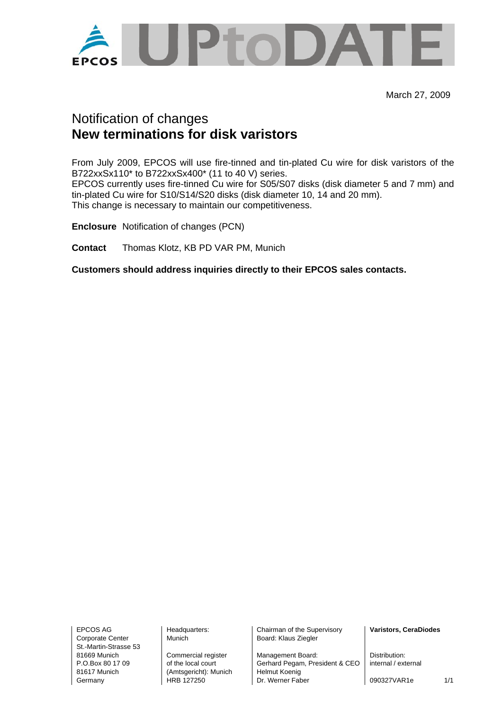

March 27, 2009

## Notification of changes **New terminations for disk varistors**

From July 2009, EPCOS will use fire-tinned and tin-plated Cu wire for disk varistors of the B722xxSx110\* to B722xxSx400\* (11 to 40 V) series. EPCOS currently uses fire-tinned Cu wire for S05/S07 disks (disk diameter 5 and 7 mm) and tin-plated Cu wire for S10/S14/S20 disks (disk diameter 10, 14 and 20 mm). This change is necessary to maintain our competitiveness.

**Enclosure** Notification of changes (PCN)

**Contact** Thomas Klotz, KB PD VAR PM, Munich

**Customers should address inquiries directly to their EPCOS sales contacts.** 

Corporate Center Munich Munich Board: Klaus Ziegler St.-Martin-Strasse 53

81617 Munich (Amtsgericht): Munich Helmut Koenig

EPCOS AG **Headquarters:** Chairman of the Supervisory **Varistors, CeraDiodes Varistors** 

81669 Munich Commercial register Management Board: Distribution:<br>
P.O.Box 80 17 09 of the local court Gerhard Pegam. President & CEO internal / external Gerhard Pegam, President & CEO Germany **HRB 127250** Dr. Werner Faber 1090327VAR1e 1/1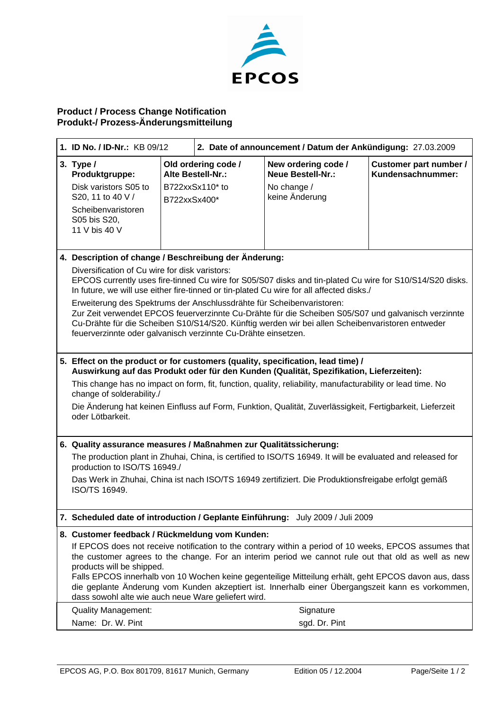

## **Product / Process Change Notification Produkt-/ Prozess-Änderungsmitteilung**

| 1. ID No. / ID-Nr.: KB 09/12                                                                                                                                                                                                                                                                                                                      |                                                                                                                                                                                                                                                                  | 2. Date of announcement / Datum der Ankündigung: 27.03.2009 |                                                                |                                             |  |
|---------------------------------------------------------------------------------------------------------------------------------------------------------------------------------------------------------------------------------------------------------------------------------------------------------------------------------------------------|------------------------------------------------------------------------------------------------------------------------------------------------------------------------------------------------------------------------------------------------------------------|-------------------------------------------------------------|----------------------------------------------------------------|---------------------------------------------|--|
| 3. Type $/$<br>Produktgruppe:<br>Disk varistors S05 to                                                                                                                                                                                                                                                                                            |                                                                                                                                                                                                                                                                  | Old ordering code /<br>Alte Bestell-Nr.:<br>B722xxSx110* to | New ordering code /<br><b>Neue Bestell-Nr.:</b><br>No change / | Customer part number /<br>Kundensachnummer: |  |
| S20, 11 to 40 V /                                                                                                                                                                                                                                                                                                                                 | B722xxSx400*                                                                                                                                                                                                                                                     |                                                             | keine Änderung                                                 |                                             |  |
| Scheibenvaristoren<br>S05 bis S20,<br>11 V bis 40 V                                                                                                                                                                                                                                                                                               |                                                                                                                                                                                                                                                                  |                                                             |                                                                |                                             |  |
| 4. Description of change / Beschreibung der Änderung:                                                                                                                                                                                                                                                                                             |                                                                                                                                                                                                                                                                  |                                                             |                                                                |                                             |  |
| Diversification of Cu wire for disk varistors:<br>EPCOS currently uses fire-tinned Cu wire for S05/S07 disks and tin-plated Cu wire for S10/S14/S20 disks.<br>In future, we will use either fire-tinned or tin-plated Cu wire for all affected disks./                                                                                            |                                                                                                                                                                                                                                                                  |                                                             |                                                                |                                             |  |
| Erweiterung des Spektrums der Anschlussdrähte für Scheibenvaristoren:<br>Zur Zeit verwendet EPCOS feuerverzinnte Cu-Drähte für die Scheiben S05/S07 und galvanisch verzinnte<br>Cu-Drähte für die Scheiben S10/S14/S20. Künftig werden wir bei allen Scheibenvaristoren entweder<br>feuerverzinnte oder galvanisch verzinnte Cu-Drähte einsetzen. |                                                                                                                                                                                                                                                                  |                                                             |                                                                |                                             |  |
| 5. Effect on the product or for customers (quality, specification, lead time) /<br>Auswirkung auf das Produkt oder für den Kunden (Qualität, Spezifikation, Lieferzeiten):                                                                                                                                                                        |                                                                                                                                                                                                                                                                  |                                                             |                                                                |                                             |  |
| This change has no impact on form, fit, function, quality, reliability, manufacturability or lead time. No<br>change of solderability./                                                                                                                                                                                                           |                                                                                                                                                                                                                                                                  |                                                             |                                                                |                                             |  |
| oder Lötbarkeit.                                                                                                                                                                                                                                                                                                                                  | Die Änderung hat keinen Einfluss auf Form, Funktion, Qualität, Zuverlässigkeit, Fertigbarkeit, Lieferzeit                                                                                                                                                        |                                                             |                                                                |                                             |  |
| 6. Quality assurance measures / Maßnahmen zur Qualitätssicherung:                                                                                                                                                                                                                                                                                 |                                                                                                                                                                                                                                                                  |                                                             |                                                                |                                             |  |
| production to ISO/TS 16949./                                                                                                                                                                                                                                                                                                                      | The production plant in Zhuhai, China, is certified to ISO/TS 16949. It will be evaluated and released for                                                                                                                                                       |                                                             |                                                                |                                             |  |
| Das Werk in Zhuhai, China ist nach ISO/TS 16949 zertifiziert. Die Produktionsfreigabe erfolgt gemäß<br>ISO/TS 16949.                                                                                                                                                                                                                              |                                                                                                                                                                                                                                                                  |                                                             |                                                                |                                             |  |
| 7. Scheduled date of introduction / Geplante Einführung: July 2009 / Juli 2009                                                                                                                                                                                                                                                                    |                                                                                                                                                                                                                                                                  |                                                             |                                                                |                                             |  |
| 8. Customer feedback / Rückmeldung vom Kunden:                                                                                                                                                                                                                                                                                                    |                                                                                                                                                                                                                                                                  |                                                             |                                                                |                                             |  |
| If EPCOS does not receive notification to the contrary within a period of 10 weeks, EPCOS assumes that<br>the customer agrees to the change. For an interim period we cannot rule out that old as well as new<br>products will be shipped.                                                                                                        |                                                                                                                                                                                                                                                                  |                                                             |                                                                |                                             |  |
|                                                                                                                                                                                                                                                                                                                                                   | Falls EPCOS innerhalb von 10 Wochen keine gegenteilige Mitteilung erhält, geht EPCOS davon aus, dass<br>die geplante Änderung vom Kunden akzeptiert ist. Innerhalb einer Übergangszeit kann es vorkommen,<br>dass sowohl alte wie auch neue Ware geliefert wird. |                                                             |                                                                |                                             |  |
| <b>Quality Management:</b>                                                                                                                                                                                                                                                                                                                        |                                                                                                                                                                                                                                                                  |                                                             | Signature                                                      |                                             |  |
| Name: Dr. W. Pint                                                                                                                                                                                                                                                                                                                                 |                                                                                                                                                                                                                                                                  |                                                             | sgd. Dr. Pint                                                  |                                             |  |